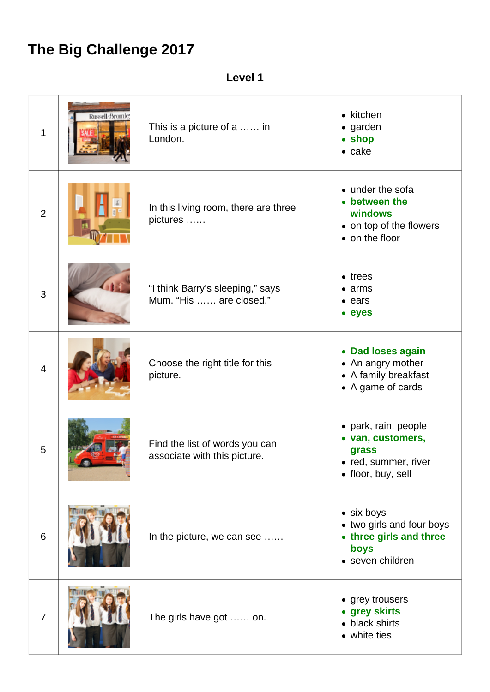## **The Big Challenge 2017**

**Level 1**

| 1               | Russell-Bromle | This is a picture of a  in<br>London.                          | $\bullet$ kitchen<br>• garden<br>• shop<br>$\bullet$ cake                                      |
|-----------------|----------------|----------------------------------------------------------------|------------------------------------------------------------------------------------------------|
| $\overline{2}$  |                | In this living room, there are three<br>pictures               | • under the sofa<br>• between the<br>windows<br>• on top of the flowers<br>• on the floor      |
| 3               |                | "I think Barry's sleeping," says<br>Mum. "His  are closed."    | $\bullet$ trees<br>• arms<br>$\bullet$ ears<br>• eyes                                          |
| $\overline{4}$  |                | Choose the right title for this<br>picture.                    | • Dad loses again<br>• An angry mother<br>• A family breakfast<br>• A game of cards            |
| 5               |                | Find the list of words you can<br>associate with this picture. | • park, rain, people<br>• van, customers,<br>grass<br>red, summer, river<br>• floor, buy, sell |
| $6\phantom{1}6$ |                | In the picture, we can see                                     | • six boys<br>• two girls and four boys<br>• three girls and three<br>boys<br>• seven children |
| $\overline{7}$  |                | The girls have got  on.                                        | • grey trousers<br>• grey skirts<br>• black shirts<br>• white ties                             |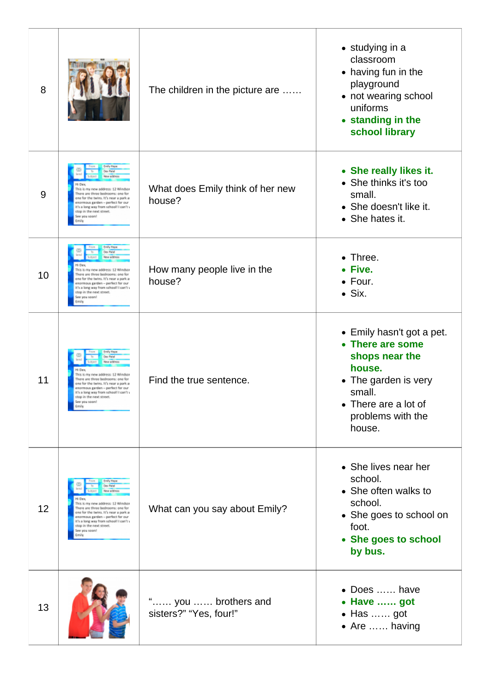| 8  |                                                                                                                                                                                                                                                                                                                     | The children in the picture are               | • studying in a<br>classroom<br>• having fun in the<br>playground<br>• not wearing school<br>uniforms<br>• standing in the<br>school library                       |
|----|---------------------------------------------------------------------------------------------------------------------------------------------------------------------------------------------------------------------------------------------------------------------------------------------------------------------|-----------------------------------------------|--------------------------------------------------------------------------------------------------------------------------------------------------------------------|
| 9  | <b>Emily Hepe</b><br>Dev Patel<br>New address<br>This is my new address: 12 Windsor<br>There are three bedrooms: one for<br>one for the twins. It's near a park a<br>enormous garden - perfect for our<br>it's a long way from school! I can't y<br>stop in the next street.<br>Inasa uoy est<br>Emily              | What does Emily think of her new<br>house?    | • She really likes it.<br>• She thinks it's too<br>small.<br>• She doesn't like it.<br>• She hates it.                                                             |
| 10 | <b>Emily Heps</b><br>Dev Patel<br>New address<br>Hi Dex<br>This is my new address: 12 Windsor<br>There are three bedrooms: one for<br>one for the twins. It's near a park a<br>enormous garden - perfect for our<br>it's a long way from school! I can't y<br>stop in the next street.<br>See you soon!<br>Emily    | How many people live in the<br>house?         | • Three.<br>• Five.<br>$\bullet$ Four.<br>$\bullet$ Six.                                                                                                           |
| 11 | <b>Breity Hepe</b><br>Dev Patel<br>New address<br>Hi Dev.<br>This is my new address: 12 Windsor<br>There are three bedrooms: one for<br>one for the twins. It's near a park as<br>enormous garden - perfect for our<br>it's a long way from school! I can't y<br>stop in the next street.<br>See you soon!<br>Emily | Find the true sentence.                       | • Emily hasn't got a pet.<br>• There are some<br>shops near the<br>house.<br>• The garden is very<br>small.<br>• There are a lot of<br>problems with the<br>house. |
| 12 | Emily Haps<br>Dev Patel<br>New address<br>This is my new address: 12 Windso<br>There are three bedrooms: one for<br>one for the twins. It's near a park a<br>enormous garden – perfect for our<br>it's a long way from school! I can't y<br>stop in the next street.<br>See you soon!<br>Emi k                      | What can you say about Emily?                 | • She lives near her<br>school.<br>• She often walks to<br>school.<br>• She goes to school on<br>foot.<br>• She goes to school<br>by bus.                          |
| 13 |                                                                                                                                                                                                                                                                                                                     | " you  brothers and<br>sisters?" "Yes, four!" | • Does  have<br>• Have  got<br>$\bullet$ Has  got<br>• Are  having                                                                                                 |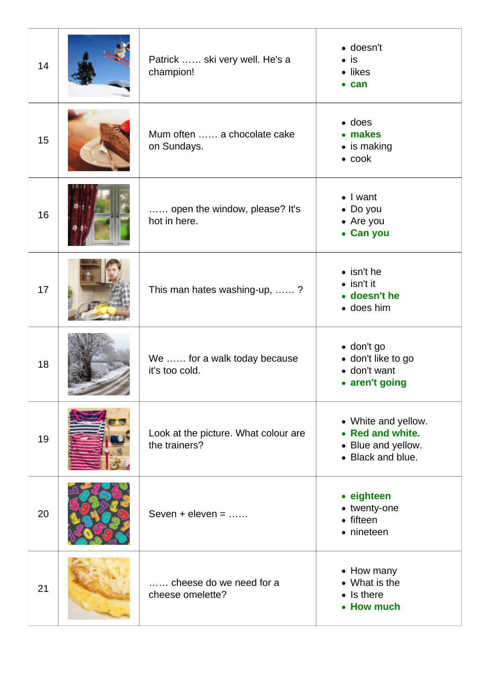| 14 | Patrick  ski very well. He's a<br>champion!           | · doesn't<br>$\bullet$ is<br>• likes<br>$\bullet$ can                              |
|----|-------------------------------------------------------|------------------------------------------------------------------------------------|
| 15 | Mum often  a chocolate cake<br>on Sundays.            | $\bullet$ does<br>• makes<br>• is making<br>$\bullet$ cook                         |
| 16 | open the window, please? It's<br>hot in here.         | $\bullet$ I want<br>• Do you<br>• Are you<br>• Can you                             |
| 17 | This man hates washing-up, ?                          | $\bullet$ isn't he<br>$\bullet$ isn't it<br>• doesn't he<br>• does him             |
| 18 | We  for a walk today because<br>it's too cold.        | $\bullet$ don't go<br>· don't like to go<br>• don't want<br>• aren't going         |
| 19 | Look at the picture. What colour are<br>the trainers? | • White and yellow.<br>• Red and white.<br>• Blue and yellow.<br>• Black and blue. |
| 20 | Seven $+$ eleven $=$                                  | • eighteen<br>• twenty-one<br>• fifteen<br>• nineteen                              |
| 21 | cheese do we need for a<br>cheese omelette?           | • How many<br>• What is the<br>$\bullet$ Is there<br>• How much                    |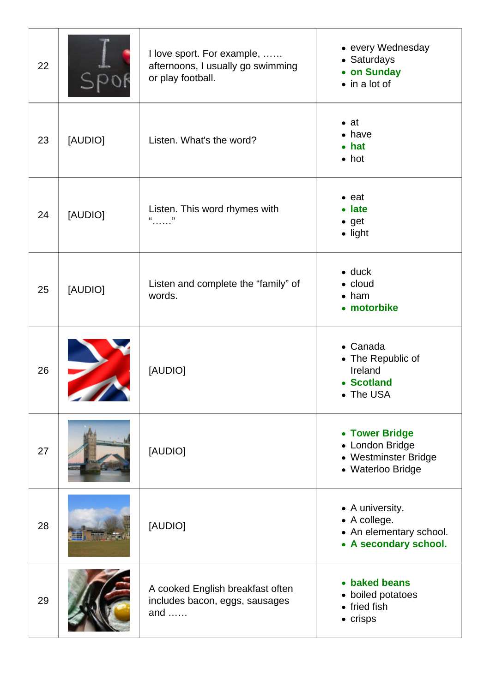| 22 |         | I love sport. For example,<br>afternoons, I usually go swimming<br>or play football. | • every Wednesday<br>• Saturdays<br>• on Sunday<br>$\bullet$ in a lot of            |
|----|---------|--------------------------------------------------------------------------------------|-------------------------------------------------------------------------------------|
| 23 | [AUDIO] | Listen. What's the word?                                                             | $\bullet$ at<br>$\bullet$ have<br>$\bullet$ hat<br>$\bullet$ hot                    |
| 24 | [AUDIO] | Listen. This word rhymes with<br>"                                                   | $\bullet$ eat<br>• late<br>$\bullet$ get<br>$\bullet$ light                         |
| 25 | [AUDIO] | Listen and complete the "family" of<br>words.                                        | $\bullet$ duck<br>$\bullet$ cloud<br>$\bullet$ ham<br>• motorbike                   |
| 26 |         | [AUDIO]                                                                              | • Canada<br>• The Republic of<br>Ireland<br>• Scotland<br>• The USA                 |
| 27 |         | [AUDIO]                                                                              | • Tower Bridge<br>• London Bridge<br>• Westminster Bridge<br>• Waterloo Bridge      |
| 28 |         | [AUDIO]                                                                              | • A university.<br>• A college.<br>• An elementary school.<br>• A secondary school. |
| 29 |         | A cooked English breakfast often<br>includes bacon, eggs, sausages<br>and $\dots$    | • baked beans<br>• boiled potatoes<br>$\bullet$ fried fish<br>$\bullet$ crisps      |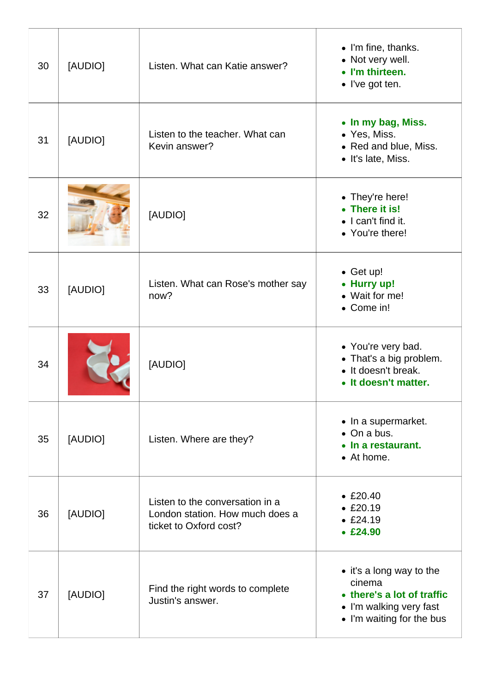| 30 | [AUDIO] | Listen. What can Katie answer?                                                               | • I'm fine, thanks.<br>• Not very well.<br>• I'm thirteen.<br>• I've got ten.                                            |
|----|---------|----------------------------------------------------------------------------------------------|--------------------------------------------------------------------------------------------------------------------------|
| 31 | [AUDIO] | Listen to the teacher. What can<br>Kevin answer?                                             | • In my bag, Miss.<br>• Yes, Miss.<br>• Red and blue, Miss.<br>• It's late, Miss.                                        |
| 32 |         | [AUDIO]                                                                                      | • They're here!<br>• There it is!<br>$\bullet$ I can't find it.<br>• You're there!                                       |
| 33 | [AUDIO] | Listen. What can Rose's mother say<br>now?                                                   | $\bullet$ Get up!<br>• Hurry up!<br>• Wait for me!<br>• Come in!                                                         |
| 34 |         | [AUDIO]                                                                                      | • You're very bad.<br>• That's a big problem.<br>• It doesn't break.<br>It doesn't matter.                               |
| 35 | [AUDIO] | Listen. Where are they?                                                                      | • In a supermarket.<br>• On a bus.<br>• In a restaurant.<br>• At home.                                                   |
| 36 | [AUDIO] | Listen to the conversation in a<br>London station. How much does a<br>ticket to Oxford cost? | • E20.40<br>• E20.19<br>• E24.19<br>• E24.90                                                                             |
| 37 | [AUDIO] | Find the right words to complete<br>Justin's answer.                                         | • it's a long way to the<br>cinema<br>• there's a lot of traffic<br>• I'm walking very fast<br>• I'm waiting for the bus |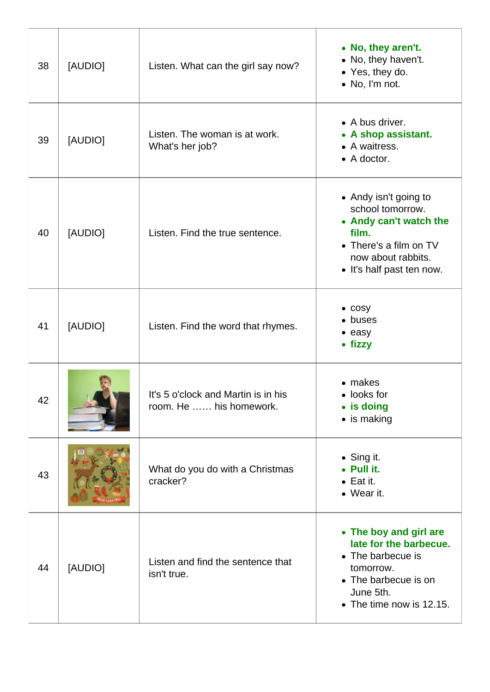| 38 | [AUDIO] | Listen. What can the girl say now?                             | • No, they aren't.<br>• No, they haven't.<br>• Yes, they do.<br>• No, I'm not.                                                                            |
|----|---------|----------------------------------------------------------------|-----------------------------------------------------------------------------------------------------------------------------------------------------------|
| 39 | [AUDIO] | Listen. The woman is at work.<br>What's her job?               | • A bus driver.<br>• A shop assistant.<br>• A waitress.<br>$\bullet$ A doctor.                                                                            |
| 40 | [AUDIO] | Listen. Find the true sentence.                                | • Andy isn't going to<br>school tomorrow.<br>• Andy can't watch the<br>film.<br>• There's a film on TV<br>now about rabbits.<br>• It's half past ten now. |
| 41 | [AUDIO] | Listen. Find the word that rhymes.                             | $\bullet$ cosy<br>• buses<br>$\bullet$ easy<br>• fizzy                                                                                                    |
| 42 |         | It's 5 o'clock and Martin is in his<br>room. He  his homework. | • makes<br>$\bullet$ looks for<br>• is doing<br>$\bullet$ is making                                                                                       |
| 43 |         | What do you do with a Christmas<br>cracker?                    | • Sing it.<br>• Pull it.<br>$\bullet$ Eat it.<br>• Wear it.                                                                                               |
| 44 | [AUDIO] | Listen and find the sentence that<br>isn't true.               | • The boy and girl are<br>late for the barbecue.<br>• The barbecue is<br>tomorrow.<br>• The barbecue is on<br>June 5th.<br>• The time now is 12.15.       |